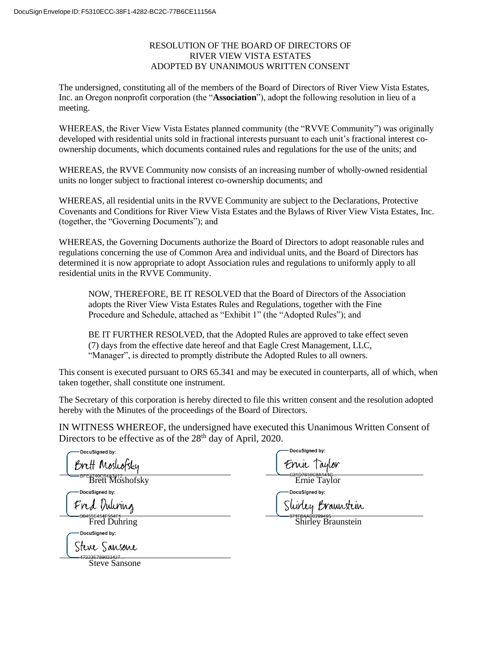## RESOLUTION OF THE BOARD OF DIRECTORS OF RIVER VIEW VISTA ESTATES ADOPTED BY UNANIMOUS WRITTEN CONSENT

The undersigned, constituting all of the members of the Board of Directors of River View Vista Estates, Inc. an Oregon nonprofit corporation (the "**Association**"), adopt the following resolution in lieu of a meeting.

WHEREAS, the River View Vista Estates planned community (the "RVVE Community") was originally developed with residential units sold in fractional interests pursuant to each unit's fractional interest coownership documents, which documents contained rules and regulations for the use of the units; and

WHEREAS, the RVVE Community now consists of an increasing number of wholly-owned residential units no longer subject to fractional interest co-ownership documents; and

WHEREAS, all residential units in the RVVE Community are subject to the Declarations, Protective Covenants and Conditions for River View Vista Estates and the Bylaws of River View Vista Estates, Inc. (together, the "Governing Documents"); and

WHEREAS, the Governing Documents authorize the Board of Directors to adopt reasonable rules and regulations concerning the use of Common Area and individual units, and the Board of Directors has determined it is now appropriate to adopt Association rules and regulations to uniformly apply to all residential units in the RVVE Community.

NOW, THEREFORE, BE IT RESOLVED that the Board of Directors of the Association adopts the River View Vista Estates Rules and Regulations, together with the Fine Procedure and Schedule, attached as "Exhibit 1" (the "Adopted Rules"); and

BE IT FURTHER RESOLVED, that the Adopted Rules are approved to take effect seven (7) days from the effective date hereof and that Eagle Crest Management, LLC, "Manager", is directed to promptly distribute the Adopted Rules to all owners.

This consent is executed pursuant to ORS 65.341 and may be executed in counterparts, all of which, when taken together, shall constitute one instrument.

The Secretary of this corporation is hereby directed to file this written consent and the resolution adopted hereby with the Minutes of the proceedings of the Board of Directors.

IN WITNESS WHEREOF, the undersigned have executed this Unanimous Written Consent of Directors to be effective as of the 28<sup>th</sup> day of April, 2020.

DocuSianed by: DocuSigned by: Ernie Taylor Brett Mosliofsky <u>Brett Moshofsky Ernie Taylor</u> DocuSigned by: DocuSigned by: Fred Dulining Sluidey Braunstein Fred Duhring Shirley Braunstein DocuSigned by: Steve Sansone Steve Sansone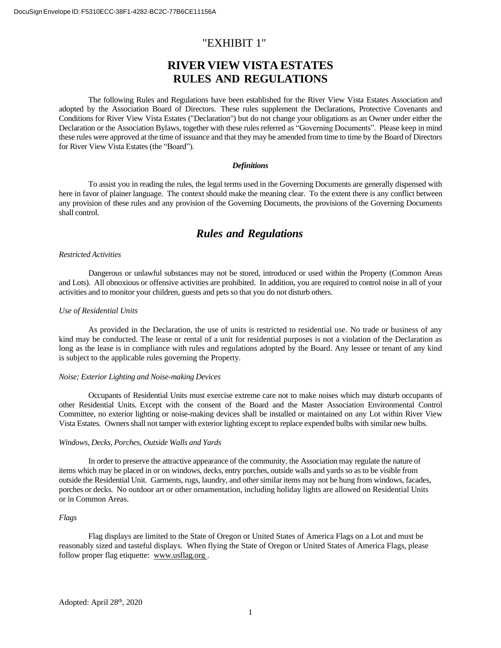## "EXHIBIT 1"

# **RIVER VIEW VISTA ESTATES RULES AND REGULATIONS**

The following Rules and Regulations have been established for the River View Vista Estates Association and adopted by the Association Board of Directors. These rules supplement the Declarations, Protective Covenants and Conditions for River View Vista Estates ("Declaration") but do not change your obligations as an Owner under either the Declaration or the Association Bylaws, together with these rules referred as "Governing Documents". Please keep in mind these rules were approved at the time of issuance and that they may be amended from time to time by the Board of Directors for River View Vista Estates(the "Board").

#### *Definitions*

To assist you in reading the rules, the legal terms used in the Governing Documents are generally dispensed with here in favor of plainer language. The context should make the meaning clear. To the extent there is any conflict between any provision of these rules and any provision of the Governing Documents, the provisions of the Governing Documents shall control.

## *Rules and Regulations*

#### *Restricted Activities*

Dangerous or unlawful substances may not be stored, introduced or used within the Property (Common Areas and Lots). All obnoxious or offensive activities are prohibited. In addition, you are required to control noise in all of your activities and to monitor your children, guests and pets so that you do not disturb others.

### *Use of Residential Units*

As provided in the Declaration, the use of units is restricted to residential use. No trade or business of any kind may be conducted. The lease or rental of a unit for residential purposes is not a violation of the Declaration as long as the lease is in compliance with rules and regulations adopted by the Board. Any lessee or tenant of any kind is subject to the applicable rules governing the Property.

## *Noise; Exterior Lighting and Noise-making Devices*

Occupants of Residential Units must exercise extreme care not to make noises which may disturb occupants of other Residential Units. Except with the consent of the Board and the Master Association Environmental Control Committee, no exterior lighting or noise-making devices shall be installed or maintained on any Lot within River View Vista Estates. Ownersshall not tamper with exterior lighting except to replace expended bulbs with similar new bulbs.

#### *Windows, Decks, Porches, Outside Walls and Yards*

In order to preserve the attractive appearance of the community, the Association may regulate the nature of items which may be placed in or on windows, decks, entry porches, outside walls and yards so as to be visible from outside the Residential Unit. Garments, rugs, laundry, and other similar items may not be hung from windows, facades, porches or decks. No outdoor art or other ornamentation, including holiday lights are allowed on Residential Units or in Common Areas.

## *Flags*

Flag displays are limited to the State of Oregon or United States of America Flags on a Lot and must be reasonably sized and tasteful displays. When flying the State of Oregon or United States of America Flags, please follow proper flag etiquette: [www.usflag.org .](http://www.usflag.org/)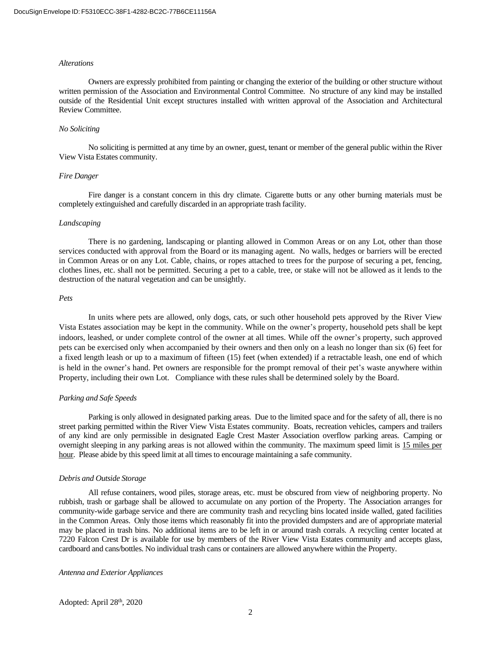#### *Alterations*

Owners are expressly prohibited from painting or changing the exterior of the building or other structure without written permission of the Association and Environmental Control Committee. No structure of any kind may be installed outside of the Residential Unit except structures installed with written approval of the Association and Architectural Review Committee.

#### *No Soliciting*

No soliciting is permitted at any time by an owner, guest, tenant or member of the general public within the River View Vista Estates community.

### *Fire Danger*

Fire danger is a constant concern in this dry climate. Cigarette butts or any other burning materials must be completely extinguished and carefully discarded in an appropriate trash facility.

### *Landscaping*

There is no gardening, landscaping or planting allowed in Common Areas or on any Lot, other than those services conducted with approval from the Board or its managing agent. No walls, hedges or barriers will be erected in Common Areas or on any Lot. Cable, chains, or ropes attached to trees for the purpose of securing a pet, fencing, clothes lines, etc. shall not be permitted. Securing a pet to a cable, tree, or stake will not be allowed as it lends to the destruction of the natural vegetation and can be unsightly.

## *Pets*

In units where pets are allowed, only dogs, cats, or such other household pets approved by the River View Vista Estates association may be kept in the community. While on the owner's property, household pets shall be kept indoors, leashed, or under complete control of the owner at all times. While off the owner's property, such approved pets can be exercised only when accompanied by their owners and then only on a leash no longer than six (6) feet for a fixed length leash or up to a maximum of fifteen (15) feet (when extended) if a retractable leash, one end of which is held in the owner's hand. Pet owners are responsible for the prompt removal of their pet's waste anywhere within Property, including their own Lot. Compliance with these rules shall be determined solely by the Board.

### *Parking and Safe Speeds*

Parking is only allowed in designated parking areas. Due to the limited space and for the safety of all, there is no street parking permitted within the River View Vista Estates community. Boats, recreation vehicles, campers and trailers of any kind are only permissible in designated Eagle Crest Master Association overflow parking areas. Camping or overnight sleeping in any parking areas is not allowed within the community. The maximum speed limit is 15 miles per hour. Please abide by this speed limit at all times to encourage maintaining a safe community.

#### *Debris and Outside Storage*

All refuse containers, wood piles, storage areas, etc. must be obscured from view of neighboring property. No rubbish, trash or garbage shall be allowed to accumulate on any portion of the Property. The Association arranges for community-wide garbage service and there are community trash and recycling bins located inside walled, gated facilities in the Common Areas. Only those items which reasonably fit into the provided dumpsters and are of appropriate material may be placed in trash bins. No additional items are to be left in or around trash corrals. A recycling center located at 7220 Falcon Crest Dr is available for use by members of the River View Vista Estates community and accepts glass, cardboard and cans/bottles. No individual trash cans or containers are allowed anywhere within the Property.

#### *Antenna and Exterior Appliances*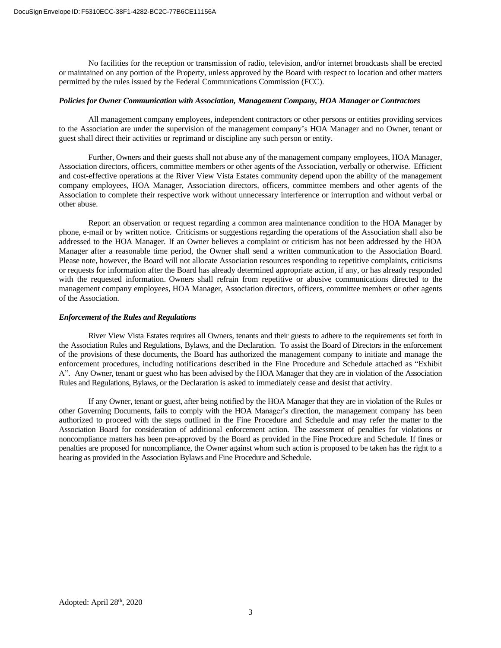No facilities for the reception or transmission of radio, television, and/or internet broadcasts shall be erected or maintained on any portion of the Property, unless approved by the Board with respect to location and other matters permitted by the rules issued by the Federal Communications Commission (FCC).

## *Policies for Owner Communication with Association, Management Company, HOA Manager or Contractors*

All management company employees, independent contractors or other persons or entities providing services to the Association are under the supervision of the management company's HOA Manager and no Owner, tenant or guest shall direct their activities or reprimand or discipline any such person or entity.

Further, Owners and their guests shall not abuse any of the management company employees, HOA Manager, Association directors, officers, committee members or other agents of the Association, verbally or otherwise. Efficient and cost-effective operations at the River View Vista Estates community depend upon the ability of the management company employees, HOA Manager, Association directors, officers, committee members and other agents of the Association to complete their respective work without unnecessary interference or interruption and without verbal or other abuse.

Report an observation or request regarding a common area maintenance condition to the HOA Manager by phone, e-mail or by written notice. Criticisms or suggestions regarding the operations of the Association shall also be addressed to the HOA Manager. If an Owner believes a complaint or criticism has not been addressed by the HOA Manager after a reasonable time period, the Owner shall send a written communication to the Association Board. Please note, however, the Board will not allocate Association resources responding to repetitive complaints, criticisms or requests for information after the Board has already determined appropriate action, if any, or has already responded with the requested information. Owners shall refrain from repetitive or abusive communications directed to the management company employees, HOA Manager, Association directors, officers, committee members or other agents of the Association.

## *Enforcement of the Rules and Regulations*

River View Vista Estates requires all Owners, tenants and their guests to adhere to the requirements set forth in the Association Rules and Regulations, Bylaws, and the Declaration. To assist the Board of Directors in the enforcement of the provisions of these documents, the Board has authorized the management company to initiate and manage the enforcement procedures, including notifications described in the Fine Procedure and Schedule attached as "Exhibit A". Any Owner, tenant or guest who has been advised by the HOA Manager that they are in violation of the Association Rules and Regulations, Bylaws, or the Declaration is asked to immediately cease and desist that activity.

If any Owner, tenant or guest, after being notified by the HOA Manager that they are in violation of the Rules or other Governing Documents, fails to comply with the HOA Manager's direction, the management company has been authorized to proceed with the steps outlined in the Fine Procedure and Schedule and may refer the matter to the Association Board for consideration of additional enforcement action. The assessment of penalties for violations or noncompliance matters has been pre-approved by the Board as provided in the Fine Procedure and Schedule. If fines or penalties are proposed for noncompliance, the Owner against whom such action is proposed to be taken has the right to a hearing as provided in the Association Bylaws and Fine Procedure and Schedule.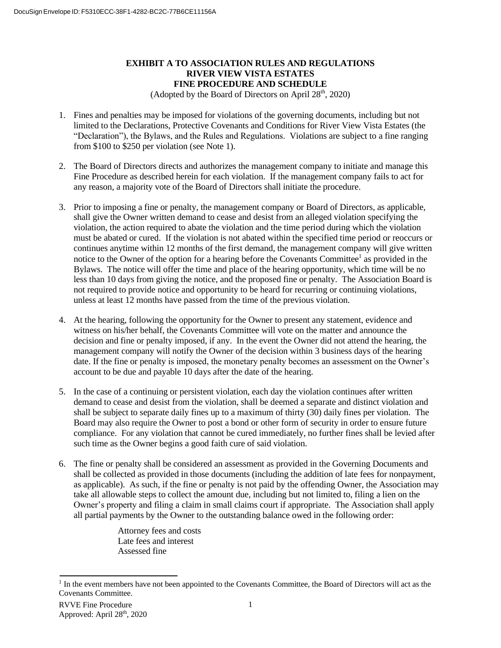## **EXHIBIT A TO ASSOCIATION RULES AND REGULATIONS RIVER VIEW VISTA ESTATES FINE PROCEDURE AND SCHEDULE**

(Adopted by the Board of Directors on April 28<sup>th</sup>, 2020)

- 1. Fines and penalties may be imposed for violations of the governing documents, including but not limited to the Declarations, Protective Covenants and Conditions for River View Vista Estates (the "Declaration"), the Bylaws, and the Rules and Regulations. Violations are subject to a fine ranging from \$100 to \$250 per violation (see Note 1).
- 2. The Board of Directors directs and authorizes the management company to initiate and manage this Fine Procedure as described herein for each violation. If the management company fails to act for any reason, a majority vote of the Board of Directors shall initiate the procedure.
- 3. Prior to imposing a fine or penalty, the management company or Board of Directors, as applicable, shall give the Owner written demand to cease and desist from an alleged violation specifying the violation, the action required to abate the violation and the time period during which the violation must be abated or cured. If the violation is not abated within the specified time period or reoccurs or continues anytime within 12 months of the first demand, the management company will give written notice to the Owner of the option for a hearing before the Covenants Committee<sup>1</sup> as provided in the Bylaws. The notice will offer the time and place of the hearing opportunity, which time will be no less than 10 days from giving the notice, and the proposed fine or penalty. The Association Board is not required to provide notice and opportunity to be heard for recurring or continuing violations, unless at least 12 months have passed from the time of the previous violation.
- 4. At the hearing, following the opportunity for the Owner to present any statement, evidence and witness on his/her behalf, the Covenants Committee will vote on the matter and announce the decision and fine or penalty imposed, if any. In the event the Owner did not attend the hearing, the management company will notify the Owner of the decision within 3 business days of the hearing date. If the fine or penalty is imposed, the monetary penalty becomes an assessment on the Owner's account to be due and payable 10 days after the date of the hearing.
- 5. In the case of a continuing or persistent violation, each day the violation continues after written demand to cease and desist from the violation, shall be deemed a separate and distinct violation and shall be subject to separate daily fines up to a maximum of thirty (30) daily fines per violation. The Board may also require the Owner to post a bond or other form of security in order to ensure future compliance. For any violation that cannot be cured immediately, no further fines shall be levied after such time as the Owner begins a good faith cure of said violation.
- 6. The fine or penalty shall be considered an assessment as provided in the Governing Documents and shall be collected as provided in those documents (including the addition of late fees for nonpayment, as applicable). As such, if the fine or penalty is not paid by the offending Owner, the Association may take all allowable steps to collect the amount due, including but not limited to, filing a lien on the Owner's property and filing a claim in small claims court if appropriate. The Association shall apply all partial payments by the Owner to the outstanding balance owed in the following order:

Attorney fees and costs Late fees and interest Assessed fine

<sup>&</sup>lt;sup>1</sup> In the event members have not been appointed to the Covenants Committee, the Board of Directors will act as the Covenants Committee.